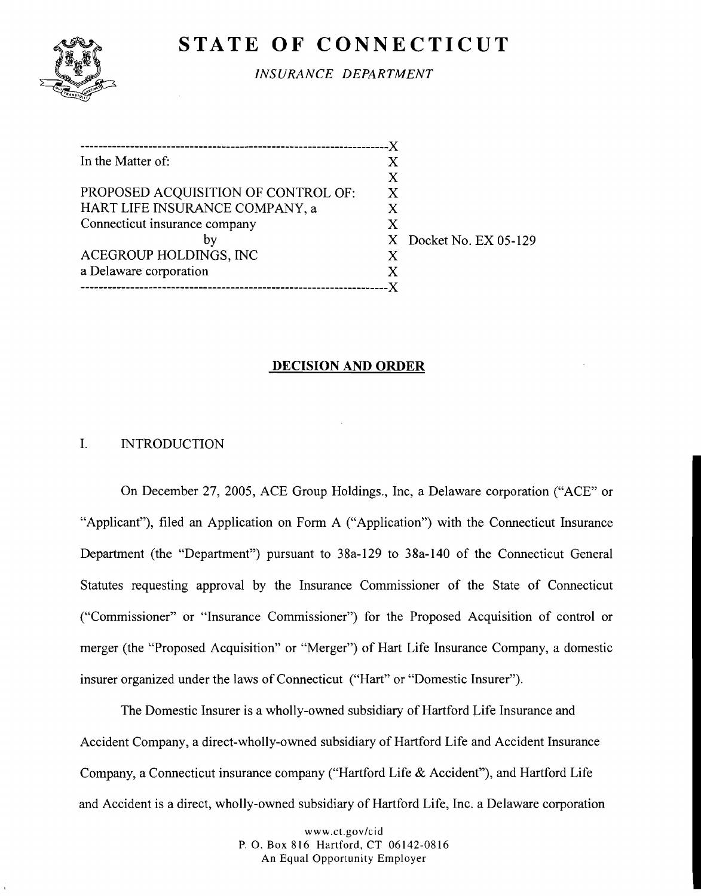# **STATE OF CONNECTICUT**



*INSURANCE DEPARTMENT* 

| In the Matter of:                   | X |                        |
|-------------------------------------|---|------------------------|
|                                     | X |                        |
| PROPOSED ACQUISITION OF CONTROL OF: | X |                        |
| HART LIFE INSURANCE COMPANY, a      | X |                        |
| Connecticut insurance company       | X |                        |
|                                     |   | X Docket No. EX 05-129 |
| ACEGROUP HOLDINGS, INC              | X |                        |
| a Delaware corporation              | X |                        |
|                                     |   |                        |

## **DECISION AND ORDER**

## I. INTRODUCTION

On December 27, 2005, ACE Group Holdings., Inc, a Delaware corporation ("ACE" or "Applicant"), filed an Application on Form A ("Application") with the Connecticut Insurance Department (the "Department") pursuant to 38a-129 to 38a-140 of the Connecticut General Statutes requesting approval by the Insurance Commissioner of the State of Connecticut ("Commissioner" or "Insurance Commissioner") for the Proposed Acquisition of control or merger (the "Proposed Acquisition" or "Merger") of Hart Life Insurance Company, a domestic insurer organized under the laws of Connecticut ("Hart" or "Domestic Insurer").

The Domestic Insurer is a wholly-owned subsidiary of Hartford Life Insurance and Accident Company, a direct-wholly-owned subsidiary of Hartford Life and Accident Insurance Company, a Connecticut insurance company ("Hartford Life & Accident"), and Hartford Life and Accident is a direct, wholly-owned subsidiary of Hartford Life, Inc. a Delaware corporation

> www.ct.gov/cid P. 0. Box 816 Hartford, CT 06142-0816 An Equal Opportunity Employer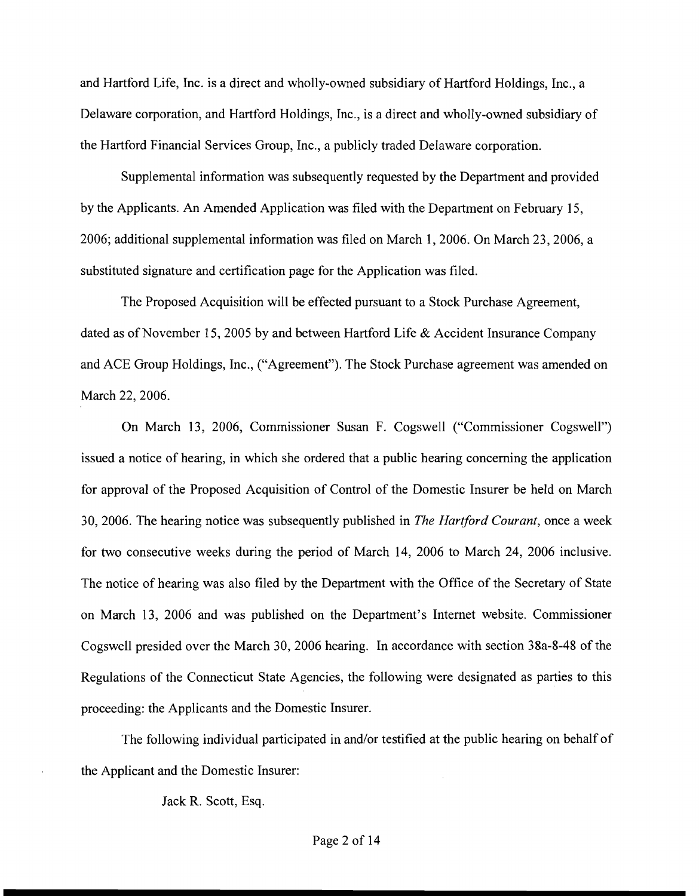and Hartford Life, Inc. is a direct and wholly-owned subsidiary of Hartford Holdings, Inc., a Delaware corporation, and Hartford Holdings, Inc., is a direct and wholly-owned subsidiary of the Hartford Financial Services Group, Inc., a publicly traded Delaware corporation.

Supplemental information was subsequently requested by the Department and provided by the Applicants. An Amended Application was filed with the Department on February 15, 2006; additional supplemental information was filed on March 1,2006. On March 23,2006, a substituted signature and certification page for the Application was filed.

The Proposed Acquisition will be effected pursuant to a Stock Purchase Agreement, dated as of November 15,2005 by and between Hartford Life & Accident Insurance Company and ACE Group Holdings, Inc., ("Agreement"). The Stock Purchase agreement was amended on March 22, 2006.

On March 13, 2006, Commissioner Susan F. Cogswell ("Commissioner Cogswell") issued a notice of hearing, in which she ordered that a public hearing concerning the application for approval of the Proposed Acquisition of Control of the Domestic Insurer be held on March 30,2006. The hearing notice was subsequently published in *The* Harrford Courant, once a week for two consecutive weeks during the period of March 14, 2006 to March 24, 2006 inclusive. The notice of hearing was also filed by the Department with the Office of the Secretary of State on March 13, 2006 and was published on the Department's Internet website. Commissioner Cogswell presided over the March 30, 2006 hearing. In accordance with section 38a-8-48 of the Regulations of the Connecticut State Agencies, the following were designated as parties to this proceeding: the Applicants and the Domestic Insurer.

The following individual participated in and/or testified at the public hearing on behalf of the Applicant and the Domestic Insurer:

Jack R. Scott, Esq.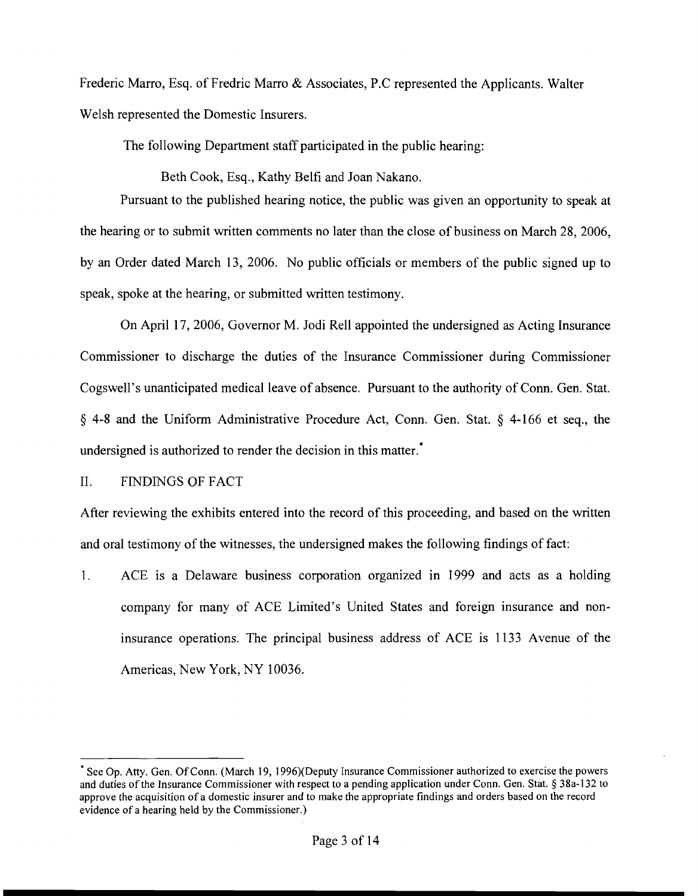Frederic Marro, Esq. of Fredric Marro & Associates, P.C represented the Applicants. Walter Welsh represented the Domestic Insurers.

The following Department staff participated in the public hearing:

Beth Cook, Esq., Kathy Belfi and Joan Nakano.

Pursuant to the published hearing notice, the public was given an opportunity to speak at the hearing or to submit written comments no later than the close of business on March 28, 2006, by an Order dated March 13, 2006. No public officials or members of the public signed up to speak, spoke at the hearing, or submitted written testimony.

On April 17, 2006, Governor M. Jodi Re11 appointed the undersigned as Acting Insurance Commissioner to discharge the duties of the Insurance Commissioner during Commissioner Cogswell's unanticipated medical leave of absence. Pursuant to the authority of Conn. Gen. Stat. **fj** 4-8 and the Uniform Administrative Procedure Act, Conn. Gen. Stat. **fj** 4-166 et seq., the undersigned is authorized to render the decision in this matter.<sup>\*</sup>

#### II. FINDINGS OF FACT

After reviewing the exhibits entered into the record of this proceeding, and based on the written and oral testimony of the witnesses, the undersigned makes the following findings of fact:

1. ACE is a Delaware business corporation organized in 1999 and acts as a holding company for many of ACE Limited's United States and foreign insurance and noninsurance operations. The principal business address of ACE is 1133 Avenue of the Americas, New York, NY 10036.

See Op. **Atty.** Gen. Of Conn. (March 19, 1996)(Deputy Insurance Commissioner authorized to exercise the powers and duties of the Insurance Commissioner with respect to a pending application under Conn. Gen. Stat. \$ 38a-132 to approve the acquisition of a domestic insurer and to make the appropriate findings and orders based on the record evidence of a hearing held by the Commissioner.)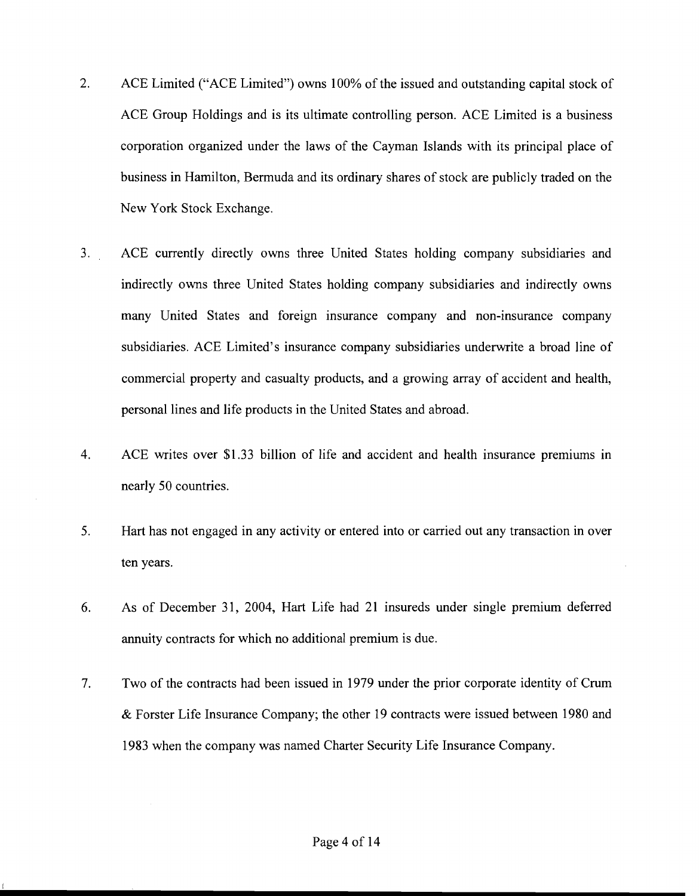- 2. ACE Limited ("ACE Limited") owns 100% of the issued and outstanding capital stock of ACE Group Holdings and is its ultimate controlling person. ACE Limited is a business corporation organized under the laws of the Cayman Islands with its principal place of business in Hamilton, Bermuda and its ordinary shares of stock are publicly traded on the New York Stock Exchange.
- 3. ACE currently directly owns three United States holding company subsidiaries and indirectly owns three United States holding company subsidiaries and indirectly owns many United States and foreign insurance company and non-insurance company subsidiaries. ACE Limited's insurance company subsidiaries underwrite a broad line of commercial property and casualty products, and a growing array of accident and health, personal lines and life products in the United States and abroad.
- 4. ACE writes over \$1.33 billion of life and accident and health insurance premiums in nearly 50 countries.
- **5.** Hart has not engaged in any activity or entered into or carried out any transaction in over ten years.
- *6.* As of December 31, 2004, Hart Life had 21 insureds under single premium deferred annuity contracts for which no additional premium is due.
- 7. Two of the contracts had been issued in 1979 under the prior corporate identity of Crum & Forster Life Insurance Company; the other 19 contracts were issued between 1980 and 1983 when the company was named Charter Security Life Insurance Company.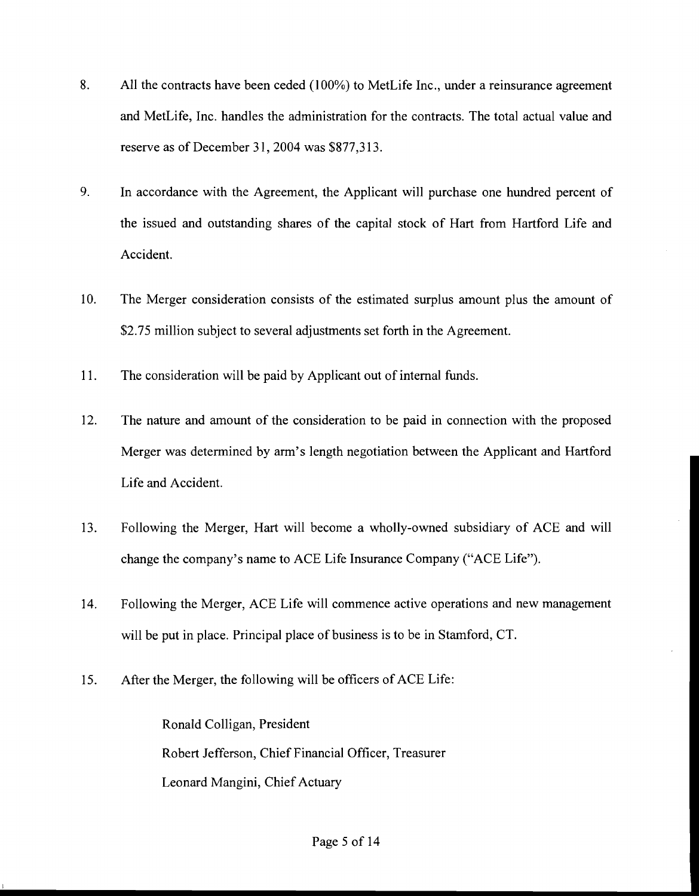- 8. All the contracts have been ceded (100%) to MetLife Inc., under a reinsurance agreement and MetLife, Inc. handles the administration for the contracts. The total actual value and reserve as of December 31, 2004 was \$877,313.
- 9. In accordance with the Agreement, the Applicant will purchase one hundred percent of the issued and outstanding shares of the capital stock of Hart from Hartford Life and Accident.
- 10. The Merger consideration consists of the estimated surplus amount plus the amount of \$2.75 million subject to several adjustments set forth in the Agreement.
- 11. The consideration will be paid by Applicant out of internal funds.
- 12. The nature and amount of the consideration to be paid in connection with the proposed Merger was determined by arm's length negotiation between the Applicant and Hartford Life and Accident.
- 13. Following the Merger, Hart will become a wholly-owned subsidiary of ACE and will change the company's name to ACE Life Insurance Company ("ACE Life").
- 14. Following the Merger, ACE Life will commence active operations and new management will be put in place. Principal place of business is to be in Stamford, CT.
- 15. After the Merger, the following will be officers of ACE Life:

Ronald Colligan, President Robert Jefferson, Chief Financial Officer, Treasurer Leonard Mangini, Chief Actuary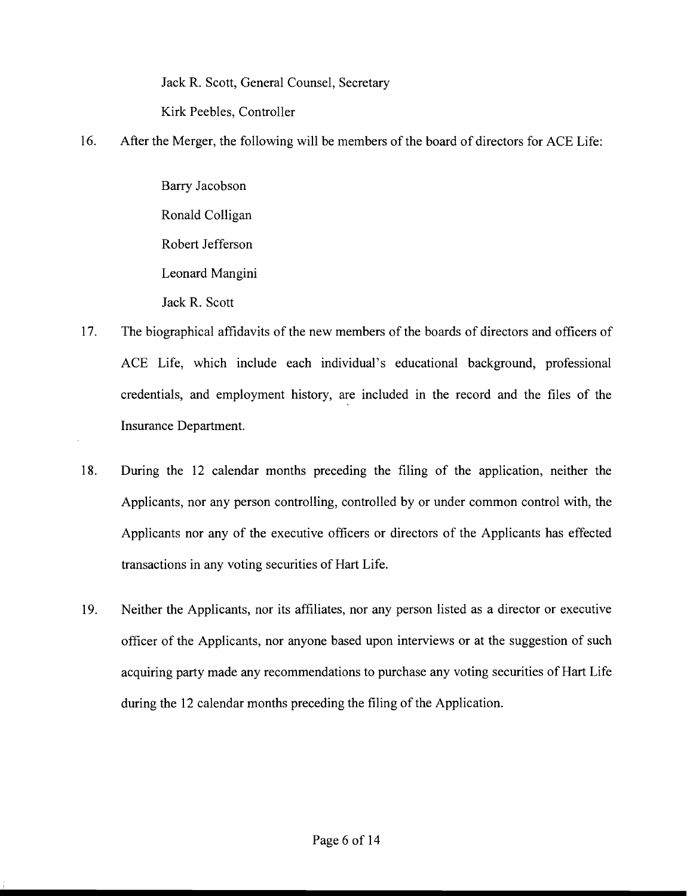Jack R. Scott, General Counsel, Secretary Kirk Peebles, Controller

16. After the Merger, the following will be members of the board of directors for ACE Life:

Barry Jacobson Ronald Colligan Robert Jefferson Leonard Mangini Jack R. Scott

- 17. The biographical affidavits of the new members of the boards of directors and officers of ACE Life, which include each individual's educational background, professional credentials, and employment history, are included in the record and the files of the Insurance Department.
- 18. During the 12 calendar months preceding the filing of the application, neither the Applicants, nor any person controlling, controlled by or under common control with, the Applicants nor any of the executive officers or directors of the Applicants has effected transactions in any voting securities of Hart Life.
- 19. Neither the Applicants, nor its affiliates, nor any person listed as a director or executive officer of the Applicants, nor anyone based upon interviews or at the suggestion of such acquiring party made any recommendations to purchase any voting securities of Hart Life during the 12 calendar months preceding the filing of the Application.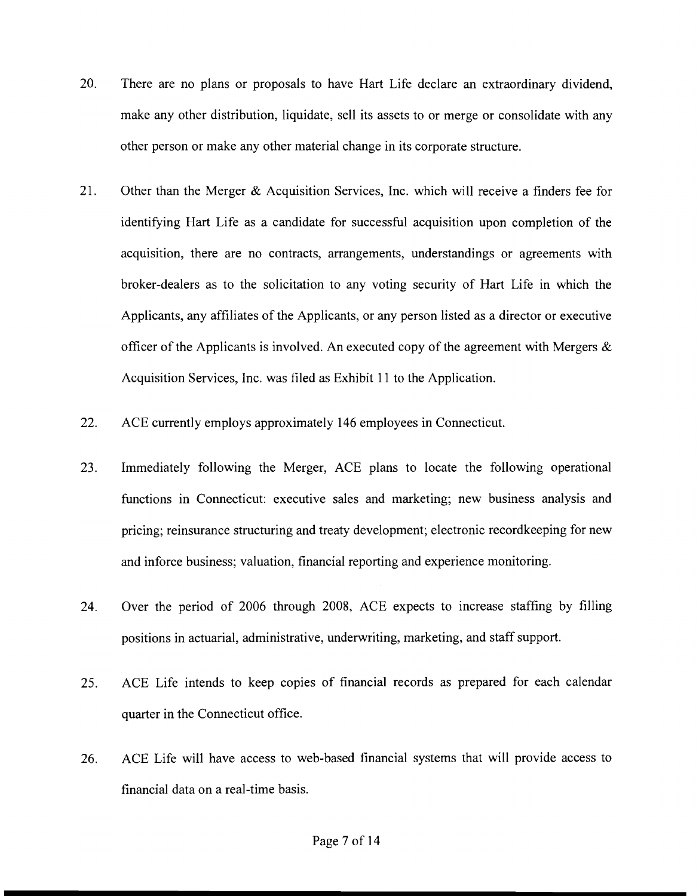- 20. There are no plans or proposals to have Hart Life declare an extraordinary dividend, make any other distribution, liquidate, sell its assets to or merge or consolidate with any other person or make any other material change in its corporate structure.
- 21. Other than the Merger & Acquisition Services, Inc. which will receive a finders fee for identifying Hart Life as a candidate for successful acquisition upon completion of the acquisition, there are no contracts, arrangements, understandings or agreements with broker-dealers as to the solicitation to any voting security of Hart Life in which the Applicants, any affiliates of the Applicants, or any person listed as a director or executive officer of the Applicants is involved. An executed copy of the agreement with Mergers  $\&$ Acquisition Services, Inc. was filed as Exhibit 11 to the Application.
- 22. ACE currently employs approximately 146 employees in Connecticut.
- 23. Immediately following the Merger, ACE plans to locate the following operational functions in Connecticut: executive sales and marketing; new business analysis and pricing; reinsurance structuring and treaty development; electronic recordkeeping for new and inforce business; valuation, financial reporting and experience monitoring.
- 24. Over the period of 2006 through 2008, ACE expects to increase staffing by filling positions in actuarial, administrative, underwriting, marketing, and staff support.
- 25. ACE Life intends to keep copies of financial records as prepared for each calendar quarter in the Connecticut office.
- 26. ACE Life will have access to web-based financial systems that will provide access to financial data on a real-time basis.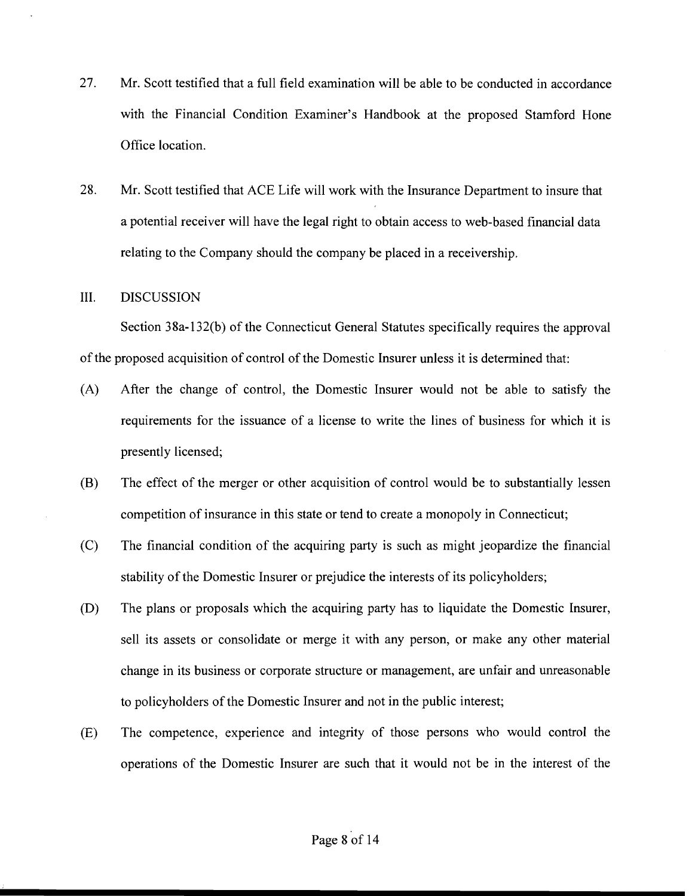- 27. Mr. Scott testified that a full field examination will be able to be conducted in accordance with the Financial Condition Examiner's Handbook at the proposed Stamford Hone Office location.
- 28. Mr. Scott testified that ACE Life will work with the Insurance Department to insure that a potential receiver will have the legal right to obtain access to web-based financial data relating to the Company should the company be placed in a receivership.

#### **111.** DISCUSSION

Section 38a-132(b) of the Connecticut General Statutes specifically requires the approval of the proposed acquisition of control of the Domestic Insurer unless it is determined that:

- (A) After the change of control, the Domestic Insurer would not be able to satisfy the requirements for the issuance of a license to write the lines of business for which it is presently licensed;
- (B) The effect of the merger or other acquisition of control would be to substantially lessen competition of insurance in this state or tend to create a monopoly in Connecticut;
- (C) The financial condition of the acquiring party is such as might jeopardize the financial stability of the Domestic Insurer or prejudice the interests of its policyholders;
- (D) The plans or proposals which the acquiring party has to liquidate the Domestic Insurer, sell its assets or consolidate or merge it with any person, or make any other material change in its business or corporate structure or management, are unfair and unreasonable to policyholders of the Domestic Insurer and not in the public interest;
- (E) The competence, experience and integrity of those persons who would control the operations of the Domestic Insurer are such that it would not be in the interest of the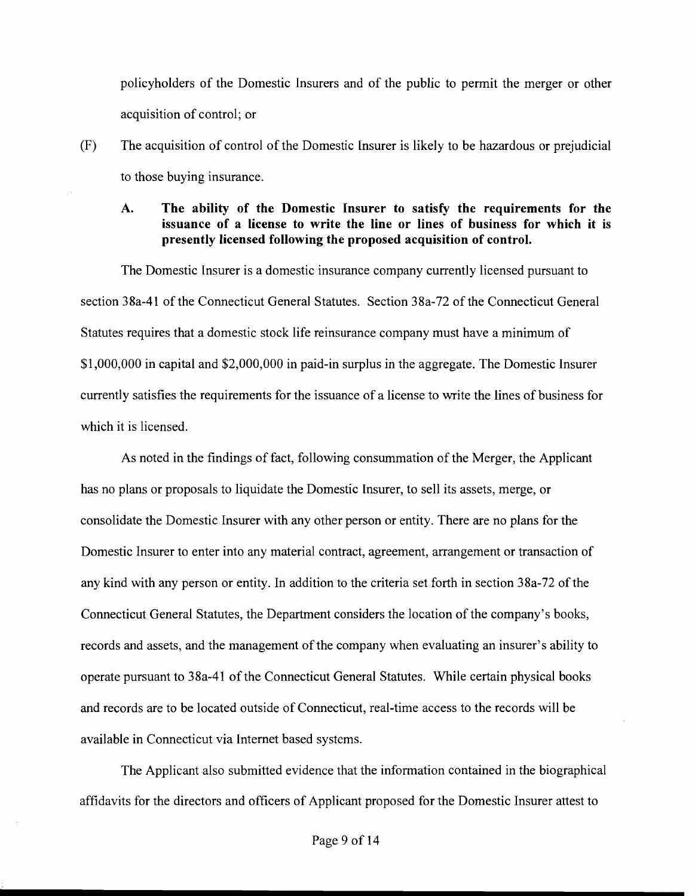policyholders of the Domestic Insurers and of the public to permit the merger or other acquisition of control; or

(F) The acquisition of control of the Domestic Insurer is likely to be hazardous or prejudicial to those buying insurance.

### **A. The ability of the Domestic Insurer to satisfy the requirements for the issuance of a license to write the line or lines of business for which it is presently licensed following the proposed acquisition of control.**

The Domestic Insurer is a domestic insurance company currently licensed pursuant to section 38a-41 of the Connecticut General Statutes. Section 38a-72 of the Connecticut General Statutes requires that a domestic stock life reinsurance company must have a minimum of \$1,000,000 in capital and \$2,000,000 in paid-in surplus in the aggregate. The Domestic Insurer currently satisfies the requirements for the issuance of a license to write the lines of business for which it is licensed.

As noted in the findings of fact, following consummation of the Merger, the Applicant has no plans or proposals to liquidate the Domestic Insurer, to sell its assets, merge, or consolidate the Domestic Insurer with any other person or entity. There are no plans for the Domestic Insurer to enter into any material contract, agreement, arrangement or transaction of any kind with any person or entity. In addition to the criteria set forth in section 38a-72 of the Connecticut General Statutes, the Department considers the location of the company's books, records and assets, and the management of the company when evaluating an insurer's ability to operate pursuant to 38a-41 of the Connecticut General Statutes. While certain physical books and records are to be located outside of Connecticut, real-time access to the records will be available in Connecticut via Internet based systems.

The Applicant also submitted evidence that the information contained in the biographical affidavits for the directors and officers of Applicant proposed for the Domestic Insurer attest to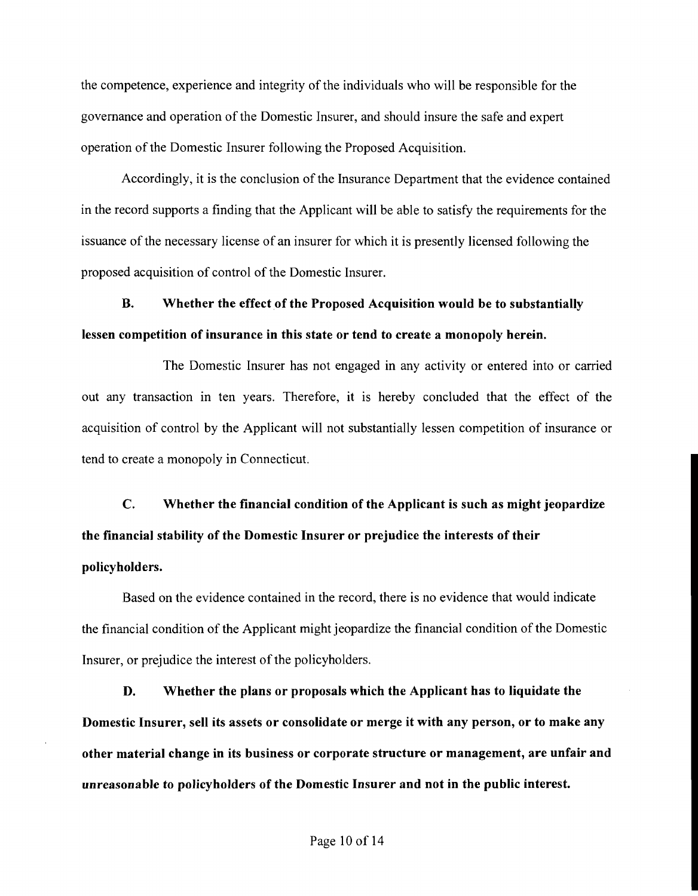the competence, experience and integrity of the individuals who will be responsible for the governance and operation of the Domestic Insurer, and should insure the safe and expert operation of the Domestic Insurer following the Proposed Acquisition.

Accordingly, it is the conclusion of the Insurance Department that the evidence contained in the record supports a finding that the Applicant will be able to satisfy the requirements for the issuance of the necessary license of an insurer for which it is presently licensed following the proposed acquisition of control of the Domestic Insurer.

**B.** Whether the effect of the Proposed Acquisition would be to substantially lessen competition of insurance in this state or tend to create a monopoly herein.

The Domestic Insurer has not engaged in any activity or entered into or carried out any transaction in ten years. Therefore, it is hereby concluded that the effect of the acquisition of control by the Applicant will not substantially lessen competition of insurance or tend to create a monopoly in Connecticut.

**C.** Whether the financial condition of the Applicant is such as might jeopardize the financial stability of the Domestic Insurer or prejudice the interests of their policyholders.

Based on the evidence contained in the record, there is no evidence that would indicate the financial condition of the Applicant might jeopardize the financial condition of the Domestic Insurer, or prejudice the interest of the policyholders.

D. Whether the plans or proposals which the Applicant has to liquidate the Domestic Insurer, sell its assets or consolidate or merge it with any person, or to make any other material change in its business or corporate structure or management, are unfair and unreasonable to policyholders of the Domestic Insurer and not in the public interest.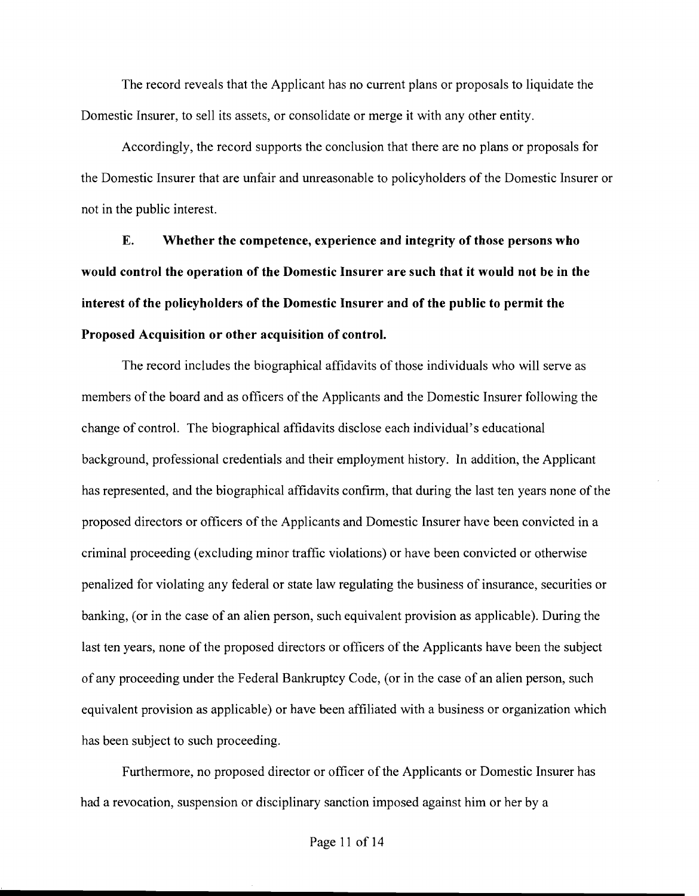The record reveals that the Applicant has no current plans or proposals to liquidate the Domestic Insurer, to sell its assets, or consolidate or merge it with any other entity.

Accordingly, the record supports the conclusion that there are no plans or proposals for the Domestic Insurer that are unfair and unreasonable to policyholders of the Domestic Insurer or not in the public interest.

**E. Whether the competence, experience and integrity of those persons who would control the operation of the Domestic Insurer are such that it would not be in the interest of the policyholders of the Domestic Insurer and of the public to permit the Proposed Acquisition or other acquisition of control.** 

The record includes the biographical affidavits of those individuals who will serve as members of the board and as officers of the Applicants and the Domestic Insurer following the change of control. The biographical affidavits disclose each individual's educational background, professional credentials and their employment history. In addition, the Applicant has represented, and the biographical affidavits confirm, that during the last ten years none of the proposed directors or officers of the Applicants and Domestic Insurer have been convicted in a criminal proceeding (excluding minor traffic violations) or have been convicted or otherwise penalized for violating any federal or state law regulating the business of insurance, securities or banking, (or in the case of an alien person, such equivalent provision as applicable). During the last ten years, none of the proposed directors or officers of the Applicants have been the subject of any proceeding under the Federal Bankruptcy Code, (or in the case of an alien person, such equivalent provision as applicable) or have been affiliated with a business or organization which has been subject to such proceeding.

Furthermore, no proposed director or officer of the Applicants or Domestic Insurer has had a revocation, suspension or disciplinary sanction imposed against him or her by a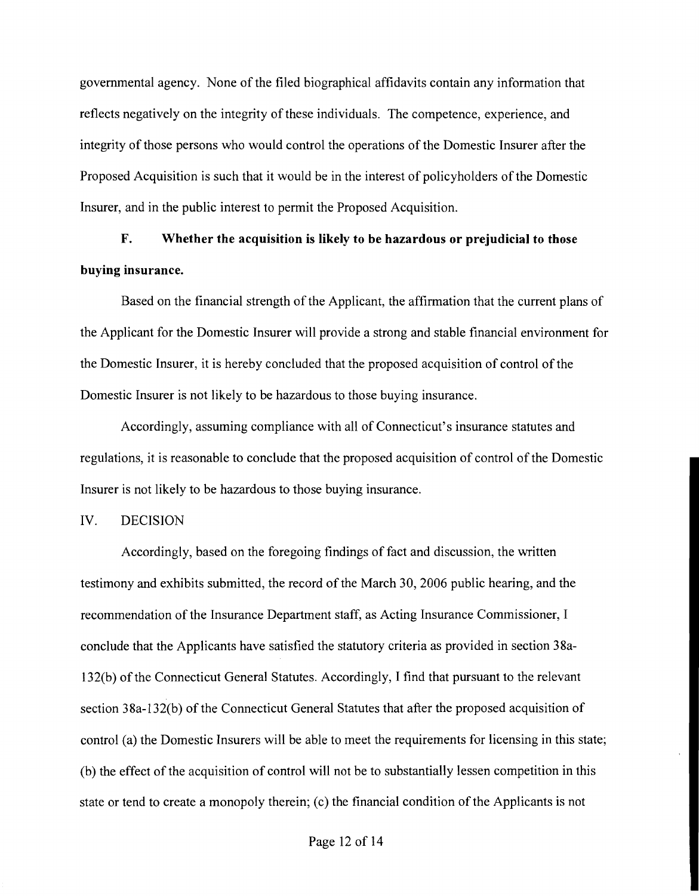governmental agency. None of the filed biographical affidavits contain any information that reflects negatively on the integrity of these individuals. The competence, experience, and integrity of those persons who would control the operations of the Domestic Insurer after the Proposed Acquisition is such that it would be in the interest of policyholders of the Domestic Insurer, and in the public interest to permit the Proposed Acquisition.

# **F. Whether the acquisition is likely to be hazardous or prejudicial to those buying insurance.**

Based on the financial strength of the Applicant, the affirmation that the current plans of the Applicant for the Domestic Insurer will provide a strong and stable financial environment for the Domestic Insurer, it is hereby concluded that the proposed acquisition of control of the Domestic Insurer is not likely to be hazardous to those buying insurance.

Accordingly, assuming compliance with all of Connecticut's insurance statutes and regulations, it is reasonable to conclude that the proposed acquisition of control of the Domestic Insurer is not likely to be hazardous to those buying insurance.

### IV. DECISION

Accordingly, based on the foregoing findings of fact and discussion, the written testimony and exhibits submitted, the record of the March 30,2006 public hearing, and the recommendation of the Insurance Department staff, as Acting Insurance Commissioner, I conclude that the Applicants have satisfied the statutory criteria as provided in section 38a-132(b) of the Connecticut General Statutes. Accordingly, I find that pursuant to the relevant section 38a-132(b) of the Connecticut General Statutes that after the proposed acquisition of control (a) the Domestic Insurers will be able to meet the requirements for licensing in this state; (b) the effect of the acquisition of control will not be to substantially lessen competition in this state or tend to create a monopoly therein; (c) the financial condition of the Applicants is not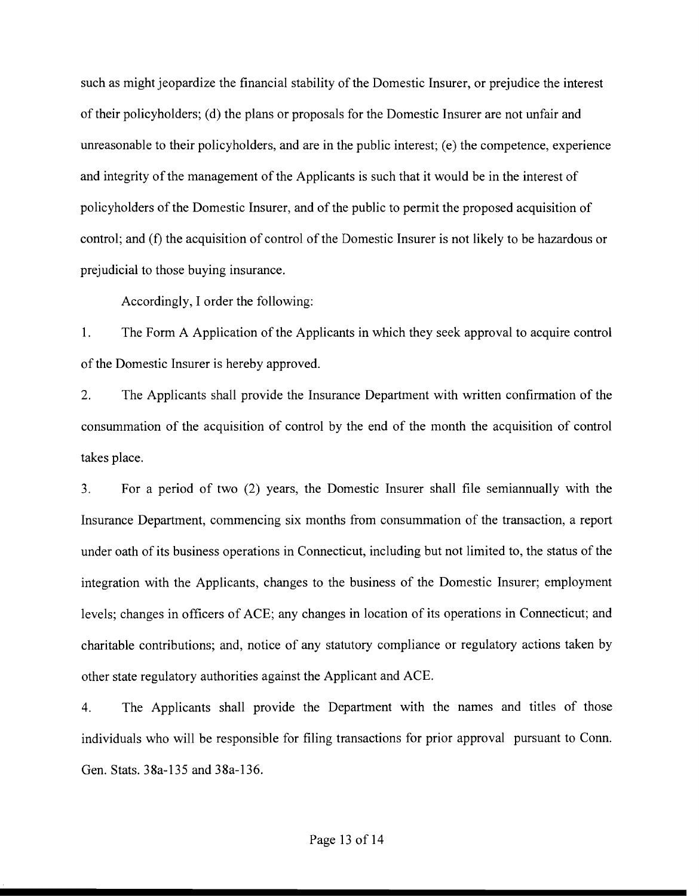such as might jeopardize the financial stability of the Domestic Insurer, or prejudice the interest of their policyholders; (d) the plans or proposals for the Domestic Insurer are not unfair and unreasonable to their policyholders, and are in the public interest; (e) the competence, experience and integrity of the management of the Applicants is such that it would be in the interest of policyholders of the Domestic Insurer, and of the public to permit the proposed acquisition of control; and **(f)** the acquisition of control of the Domestic Insurer is not likely to be hazardous or prejudicial to those buying insurance.

Accordingly, I order the following:

1. The Form A Application of the Applicants in which they seek approval to acquire control of the Domestic Insurer is hereby approved.

2. The Applicants shall provide the Insurance Department with written confirmation of the consummation of the acquisition of control by the end of the month the acquisition of control takes place.

3. For a period of two (2) years, the Domestic Insurer shall file semiannually with the Insurance Department, commencing six months from consummation of the transaction, a report under oath of its business operations in Connecticut, including but not limited to, the status of the integration with the Applicants, changes to the business of the Domestic Insurer; employment levels; changes in officers of ACE; any changes in location of its operations in Connecticut; and charitable contributions; and, notice of any statutory compliance or regulatory actions taken by other state regulatory authorities against the Applicant and ACE.

4. The Applicants shall provide the Department with the names and titles of those individuals who will be responsible for filing transactions for prior approval pursuant to Conn. Gen. Stats. 38a-135 and 38a-136.